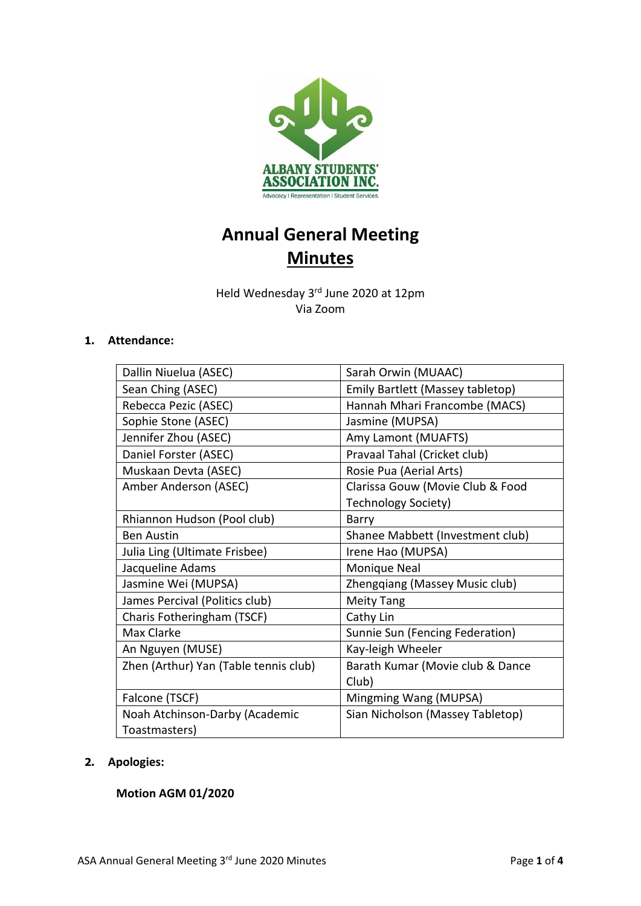

# **Annual General Meeting Minutes**

Held Wednesday 3<sup>rd</sup> June 2020 at 12pm Via Zoom

## **1. Attendance:**

| Dallin Niuelua (ASEC)                 | Sarah Orwin (MUAAC)              |
|---------------------------------------|----------------------------------|
| Sean Ching (ASEC)                     | Emily Bartlett (Massey tabletop) |
| Rebecca Pezic (ASEC)                  | Hannah Mhari Francombe (MACS)    |
| Sophie Stone (ASEC)                   | Jasmine (MUPSA)                  |
| Jennifer Zhou (ASEC)                  | Amy Lamont (MUAFTS)              |
| Daniel Forster (ASEC)                 | Pravaal Tahal (Cricket club)     |
| Muskaan Devta (ASEC)                  | Rosie Pua (Aerial Arts)          |
| Amber Anderson (ASEC)                 | Clarissa Gouw (Movie Club & Food |
|                                       | Technology Society)              |
| Rhiannon Hudson (Pool club)           | Barry                            |
| <b>Ben Austin</b>                     | Shanee Mabbett (Investment club) |
| Julia Ling (Ultimate Frisbee)         | Irene Hao (MUPSA)                |
| Jacqueline Adams                      | Monique Neal                     |
| Jasmine Wei (MUPSA)                   | Zhengqiang (Massey Music club)   |
| James Percival (Politics club)        | <b>Meity Tang</b>                |
| Charis Fotheringham (TSCF)            | Cathy Lin                        |
| Max Clarke                            | Sunnie Sun (Fencing Federation)  |
| An Nguyen (MUSE)                      | Kay-leigh Wheeler                |
| Zhen (Arthur) Yan (Table tennis club) | Barath Kumar (Movie club & Dance |
|                                       | Club)                            |
| Falcone (TSCF)                        | Mingming Wang (MUPSA)            |
| Noah Atchinson-Darby (Academic        | Sian Nicholson (Massey Tabletop) |
| Toastmasters)                         |                                  |

# **2. Apologies:**

# **Motion AGM 01/2020**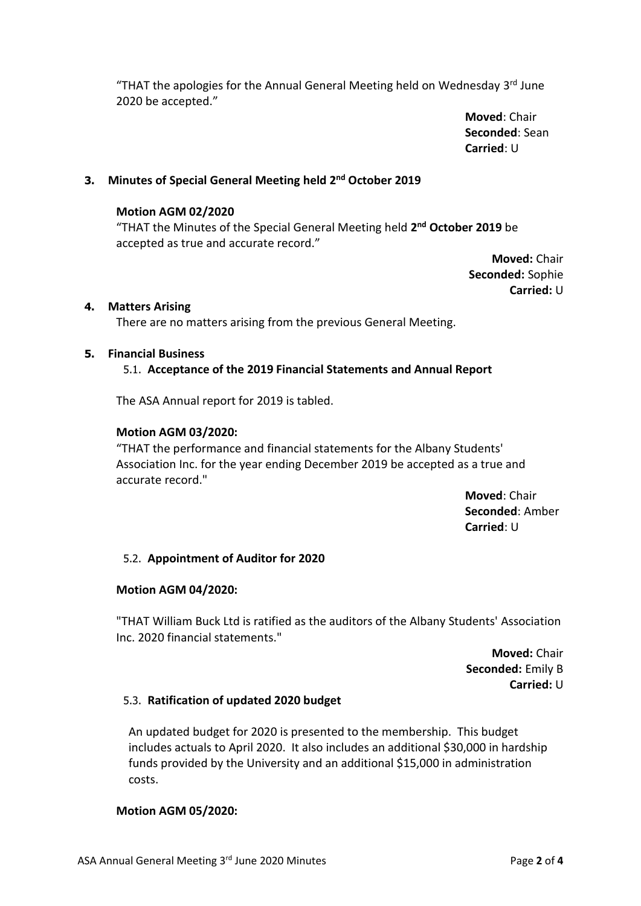"THAT the apologies for the Annual General Meeting held on Wednesday 3<sup>rd</sup> June 2020 be accepted."

> **Moved**: Chair **Seconded**: Sean **Carried**: U

## **3. Minutes of Special General Meeting held 2 nd October 2019**

#### **Motion AGM 02/2020**

"THAT the Minutes of the Special General Meeting held **2 nd October 2019** be accepted as true and accurate record."

> **Moved:** Chair **Seconded:** Sophie **Carried:** U

#### **4. Matters Arising**

There are no matters arising from the previous General Meeting.

#### **5. Financial Business**

## 5.1. **Acceptance of the 2019 Financial Statements and Annual Report**

The ASA Annual report for 2019 is tabled.

#### **Motion AGM 03/2020:**

"THAT the performance and financial statements for the Albany Students' Association Inc. for the year ending December 2019 be accepted as a true and accurate record."

> **Moved**: Chair **Seconded**: Amber **Carried**: U

#### 5.2. **Appointment of Auditor for 2020**

#### **Motion AGM 04/2020:**

"THAT William Buck Ltd is ratified as the auditors of the Albany Students' Association Inc. 2020 financial statements."

> **Moved:** Chair **Seconded:** Emily B **Carried:** U

## 5.3. **Ratification of updated 2020 budget**

An updated budget for 2020 is presented to the membership. This budget includes actuals to April 2020. It also includes an additional \$30,000 in hardship funds provided by the University and an additional \$15,000 in administration costs.

#### **Motion AGM 05/2020:**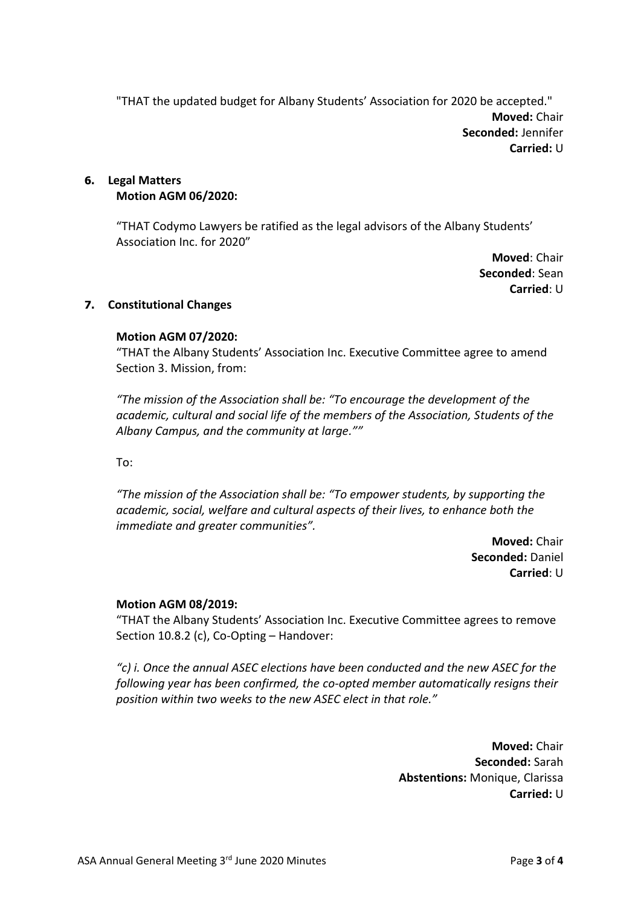"THAT the updated budget for Albany Students' Association for 2020 be accepted." **Moved:** Chair **Seconded:** Jennifer **Carried:** U

### **6. Legal Matters Motion AGM 06/2020:**

"THAT Codymo Lawyers be ratified as the legal advisors of the Albany Students' Association Inc. for 2020"

> **Moved**: Chair **Seconded**: Sean **Carried**: U

## **7. Constitutional Changes**

## **Motion AGM 07/2020:**

"THAT the Albany Students' Association Inc. Executive Committee agree to amend Section 3. Mission, from:

*"The mission of the Association shall be: "To encourage the development of the academic, cultural and social life of the members of the Association, Students of the Albany Campus, and the community at large.""* 

To:

*"The mission of the Association shall be: "To empower students, by supporting the academic, social, welfare and cultural aspects of their lives, to enhance both the immediate and greater communities".* 

> **Moved:** Chair **Seconded:** Daniel **Carried**: U

## **Motion AGM 08/2019:**

"THAT the Albany Students' Association Inc. Executive Committee agrees to remove Section 10.8.2 (c), Co-Opting – Handover:

*"c) i. Once the annual ASEC elections have been conducted and the new ASEC for the following year has been confirmed, the co-opted member automatically resigns their position within two weeks to the new ASEC elect in that role."*

> **Moved:** Chair **Seconded:** Sarah **Abstentions:** Monique, Clarissa **Carried:** U